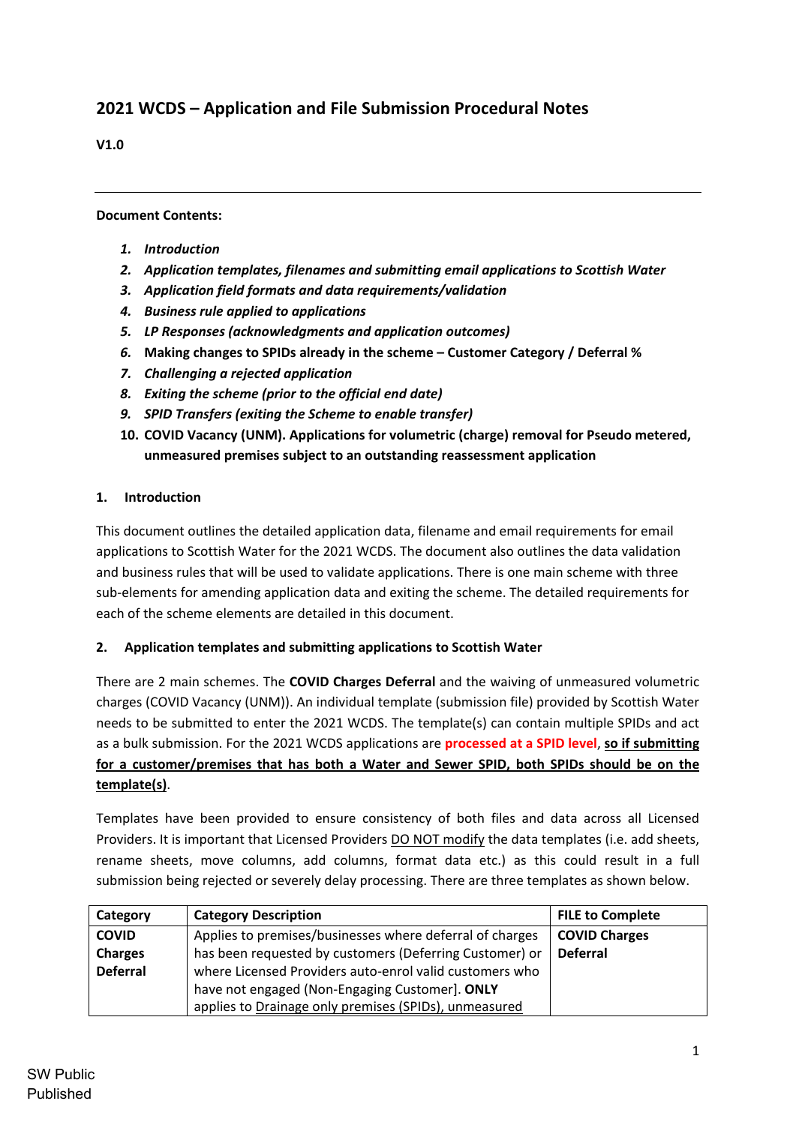# **2021 WCDS – Application and File Submission Procedural Notes**

### **V1.0**

### **Document Contents:**

- *1. Introduction*
- *2. Application templates, filenames and submitting email applications to Scottish Water*
- *3. Application field formats and data requirements/validation*
- *4. Business rule applied to applications*
- *5. LP Responses (acknowledgments and application outcomes)*
- *6.* **Making changes to SPIDs already in the scheme – Customer Category / Deferral %**
- *7. Challenging a rejected application*
- *8. Exiting the scheme (prior to the official end date)*
- *9. SPID Transfers (exiting the Scheme to enable transfer)*
- **10. COVID Vacancy (UNM). Applications for volumetric (charge) removal for Pseudo metered, unmeasured premises subject to an outstanding reassessment application**

# **1. Introduction**

This document outlines the detailed application data, filename and email requirements for email applications to Scottish Water for the 2021 WCDS. The document also outlines the data validation and business rules that will be used to validate applications. There is one main scheme with three sub-elements for amending application data and exiting the scheme. The detailed requirements for each of the scheme elements are detailed in this document.

### **2. Application templates and submitting applications to Scottish Water**

There are 2 main schemes. The **COVID Charges Deferral** and the waiving of unmeasured volumetric charges (COVID Vacancy (UNM)). An individual template (submission file) provided by Scottish Water needs to be submitted to enter the 2021 WCDS. The template(s) can contain multiple SPIDs and act as a bulk submission. For the 2021 WCDS applications are **processed at a SPID level**, **so if submitting for a customer/premises that has both a Water and Sewer SPID, both SPIDs should be on the template(s)**.

Templates have been provided to ensure consistency of both files and data across all Licensed Providers. It is important that Licensed Providers DO NOT modify the data templates (i.e. add sheets, rename sheets, move columns, add columns, format data etc.) as this could result in a full submission being rejected or severely delay processing. There are three templates as shown below.

| Category        | <b>Category Description</b>                              | <b>FILE to Complete</b> |
|-----------------|----------------------------------------------------------|-------------------------|
| <b>COVID</b>    | Applies to premises/businesses where deferral of charges | <b>COVID Charges</b>    |
| <b>Charges</b>  | has been requested by customers (Deferring Customer) or  | <b>Deferral</b>         |
| <b>Deferral</b> | where Licensed Providers auto-enrol valid customers who  |                         |
|                 | have not engaged (Non-Engaging Customer). ONLY           |                         |
|                 | applies to Drainage only premises (SPIDs), unmeasured    |                         |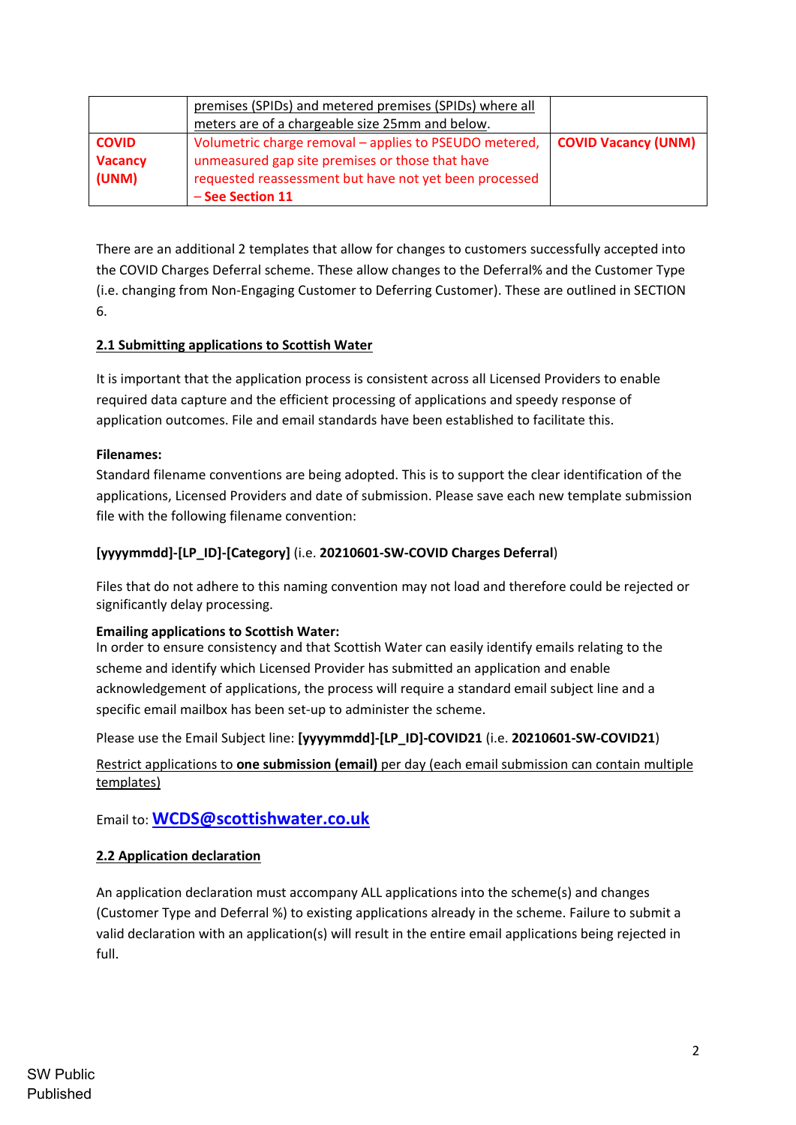|                                         | premises (SPIDs) and metered premises (SPIDs) where all<br>meters are of a chargeable size 25mm and below.                                                                              |                            |
|-----------------------------------------|-----------------------------------------------------------------------------------------------------------------------------------------------------------------------------------------|----------------------------|
| <b>COVID</b><br><b>Vacancy</b><br>(UNM) | Volumetric charge removal – applies to PSEUDO metered,<br>unmeasured gap site premises or those that have<br>requested reassessment but have not yet been processed<br>- See Section 11 | <b>COVID Vacancy (UNM)</b> |

There are an additional 2 templates that allow for changes to customers successfully accepted into the COVID Charges Deferral scheme. These allow changes to the Deferral% and the Customer Type (i.e. changing from Non-Engaging Customer to Deferring Customer). These are outlined in SECTION 6.

# **2.1 Submitting applications to Scottish Water**

It is important that the application process is consistent across all Licensed Providers to enable required data capture and the efficient processing of applications and speedy response of application outcomes. File and email standards have been established to facilitate this.

### **Filenames:**

Standard filename conventions are being adopted. This is to support the clear identification of the applications, Licensed Providers and date of submission. Please save each new template submission file with the following filename convention:

# **[yyyymmdd]-[LP\_ID]-[Category]** (i.e. **20210601-SW-COVID Charges Deferral**)

Files that do not adhere to this naming convention may not load and therefore could be rejected or significantly delay processing.

### **Emailing applications to Scottish Water:**

In order to ensure consistency and that Scottish Water can easily identify emails relating to the scheme and identify which Licensed Provider has submitted an application and enable acknowledgement of applications, the process will require a standard email subject line and a specific email mailbox has been set-up to administer the scheme.

Please use the Email Subject line: **[yyyymmdd]-[LP\_ID]-COVID21** (i.e. **20210601-SW-COVID21**)

Restrict applications to **one submission (email)** per day (each email submission can contain multiple templates)

# Email to: **WCDS@scottishwater.co.uk**

### **2.2 Application declaration**

An application declaration must accompany ALL applications into the scheme(s) and changes (Customer Type and Deferral %) to existing applications already in the scheme. Failure to submit a valid declaration with an application(s) will result in the entire email applications being rejected in full.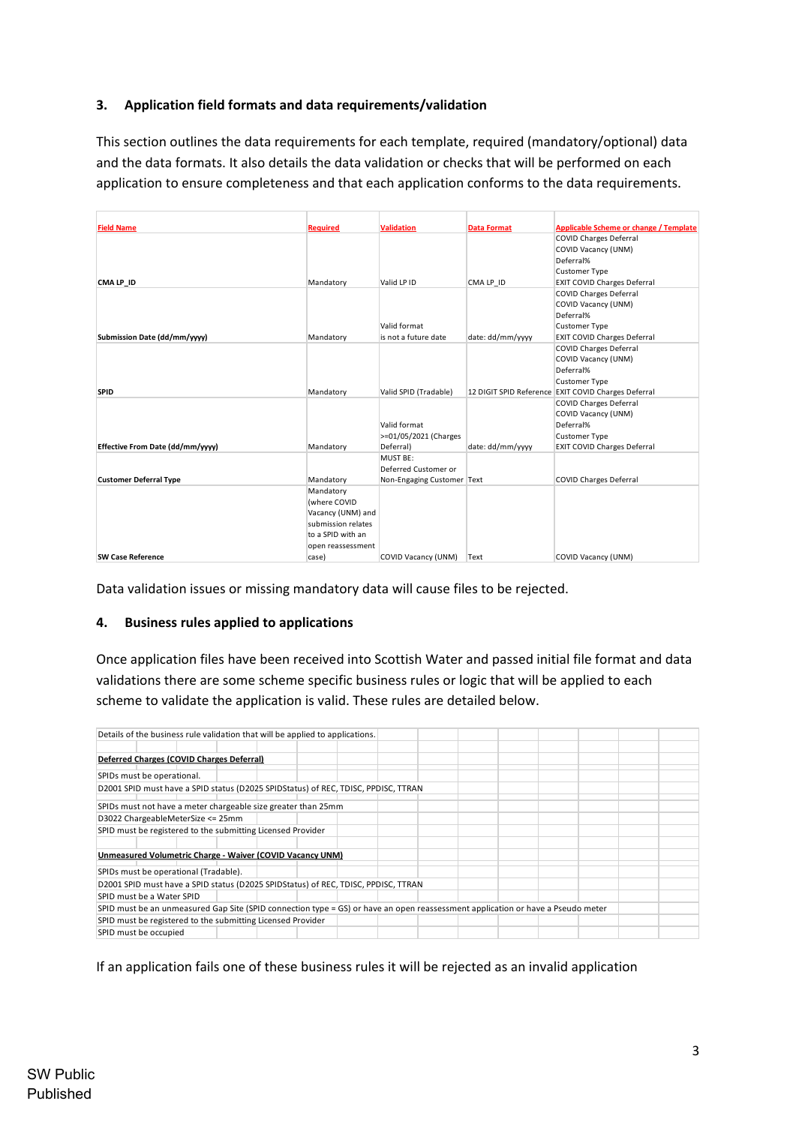### **3. Application field formats and data requirements/validation**

This section outlines the data requirements for each template, required (mandatory/optional) data and the data formats. It also details the data validation or checks that will be performed on each application to ensure completeness and that each application conforms to the data requirements.

| <b>Field Name</b>                | <b>Required</b>    | <b>Validation</b>          | <b>Data Format</b> | Applicable Scheme or change / Template              |
|----------------------------------|--------------------|----------------------------|--------------------|-----------------------------------------------------|
|                                  |                    |                            |                    | <b>COVID Charges Deferral</b>                       |
|                                  |                    |                            |                    | <b>COVID Vacancy (UNM)</b>                          |
|                                  |                    |                            |                    | Deferral%                                           |
|                                  |                    |                            |                    | <b>Customer Type</b>                                |
| CMA LP_ID                        | Mandatory          | Valid LP ID                | CMA LP ID          | <b>EXIT COVID Charges Deferral</b>                  |
|                                  |                    |                            |                    | <b>COVID Charges Deferral</b>                       |
|                                  |                    |                            |                    | <b>COVID Vacancy (UNM)</b>                          |
|                                  |                    |                            |                    | Deferral%                                           |
|                                  |                    | Valid format               |                    | <b>Customer Type</b>                                |
| Submission Date (dd/mm/yyyy)     | Mandatory          | is not a future date       | date: dd/mm/yyyy   | <b>EXIT COVID Charges Deferral</b>                  |
|                                  |                    |                            |                    | <b>COVID Charges Deferral</b>                       |
|                                  |                    |                            |                    | <b>COVID Vacancy (UNM)</b>                          |
|                                  |                    |                            |                    | Deferral%                                           |
|                                  |                    |                            |                    | <b>Customer Type</b>                                |
| <b>SPID</b>                      | Mandatory          | Valid SPID (Tradable)      |                    | 12 DIGIT SPID Reference EXIT COVID Charges Deferral |
|                                  |                    |                            |                    | <b>COVID Charges Deferral</b>                       |
|                                  |                    |                            |                    | COVID Vacancy (UNM)                                 |
|                                  |                    | Valid format               |                    | Deferral%                                           |
|                                  |                    | >=01/05/2021 (Charges      |                    | <b>Customer Type</b>                                |
| Effective From Date (dd/mm/vvvv) | Mandatory          | Deferral)                  | date: dd/mm/yyyy   | <b>EXIT COVID Charges Deferral</b>                  |
|                                  |                    | MUST BE:                   |                    |                                                     |
|                                  |                    | Deferred Customer or       |                    |                                                     |
| <b>Customer Deferral Type</b>    | Mandatory          | Non-Engaging Customer Text |                    | <b>COVID Charges Deferral</b>                       |
|                                  | Mandatory          |                            |                    |                                                     |
|                                  | (where COVID       |                            |                    |                                                     |
|                                  | Vacancy (UNM) and  |                            |                    |                                                     |
|                                  | submission relates |                            |                    |                                                     |
|                                  | to a SPID with an  |                            |                    |                                                     |
|                                  | open reassessment  |                            |                    |                                                     |
| <b>SW Case Reference</b>         | case)              | <b>COVID Vacancy (UNM)</b> | Text               | COVID Vacancy (UNM)                                 |

Data validation issues or missing mandatory data will cause files to be rejected.

#### **4. Business rules applied to applications**

Once application files have been received into Scottish Water and passed initial file format and data validations there are some scheme specific business rules or logic that will be applied to each scheme to validate the application is valid. These rules are detailed below.

| Details of the business rule validation that will be applied to applications.                                                   |  |  |  |  |
|---------------------------------------------------------------------------------------------------------------------------------|--|--|--|--|
|                                                                                                                                 |  |  |  |  |
| Deferred Charges (COVID Charges Deferral)                                                                                       |  |  |  |  |
|                                                                                                                                 |  |  |  |  |
| SPIDs must be operational.                                                                                                      |  |  |  |  |
| D2001 SPID must have a SPID status (D2025 SPIDStatus) of REC, TDISC, PPDISC, TTRAN                                              |  |  |  |  |
|                                                                                                                                 |  |  |  |  |
| SPIDs must not have a meter chargeable size greater than 25mm                                                                   |  |  |  |  |
| D3022 ChargeableMeterSize <= 25mm                                                                                               |  |  |  |  |
| SPID must be registered to the submitting Licensed Provider                                                                     |  |  |  |  |
|                                                                                                                                 |  |  |  |  |
| Unmeasured Volumetric Charge - Waiver (COVID Vacancy UNM)                                                                       |  |  |  |  |
|                                                                                                                                 |  |  |  |  |
| SPIDs must be operational (Tradable).                                                                                           |  |  |  |  |
| D2001 SPID must have a SPID status (D2025 SPIDStatus) of REC, TDISC, PPDISC, TTRAN                                              |  |  |  |  |
| SPID must be a Water SPID                                                                                                       |  |  |  |  |
| SPID must be an unmeasured Gap Site (SPID connection type = GS) or have an open reassessment application or have a Pseudo meter |  |  |  |  |
| SPID must be registered to the submitting Licensed Provider                                                                     |  |  |  |  |
| SPID must be occupied                                                                                                           |  |  |  |  |

If an application fails one of these business rules it will be rejected as an invalid application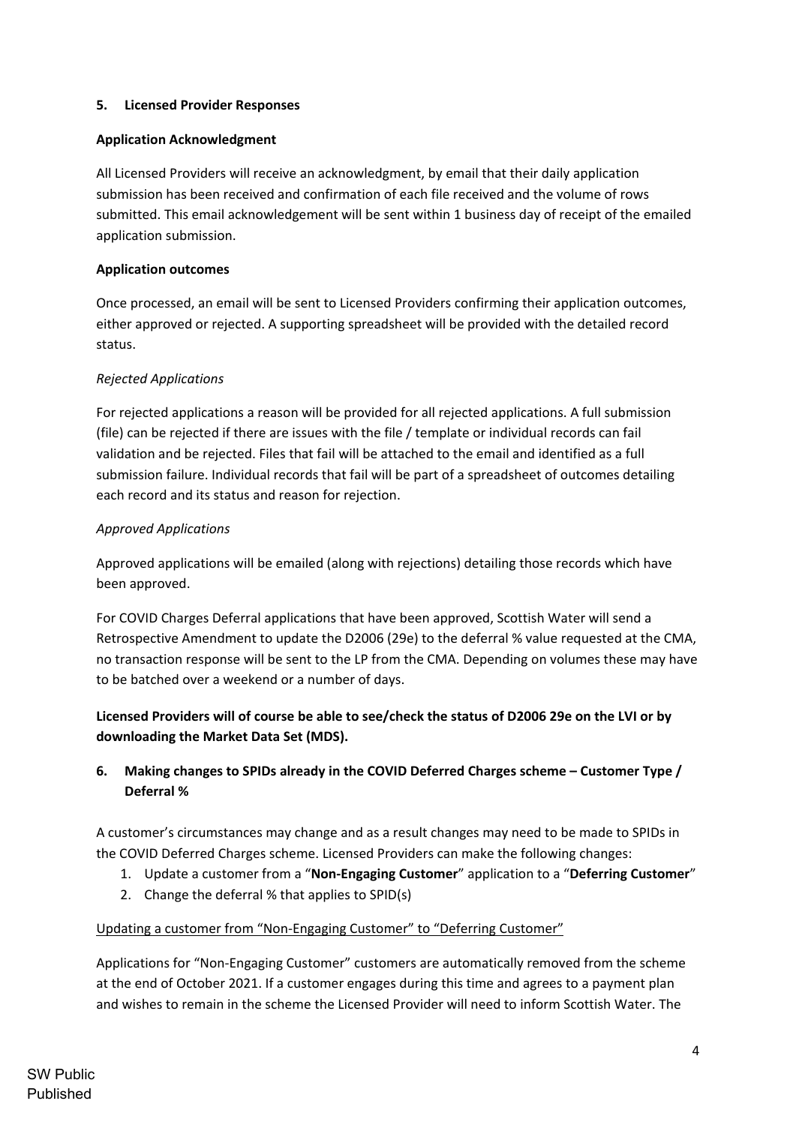### **5. Licensed Provider Responses**

#### **Application Acknowledgment**

All Licensed Providers will receive an acknowledgment, by email that their daily application submission has been received and confirmation of each file received and the volume of rows submitted. This email acknowledgement will be sent within 1 business day of receipt of the emailed application submission.

### **Application outcomes**

Once processed, an email will be sent to Licensed Providers confirming their application outcomes, either approved or rejected. A supporting spreadsheet will be provided with the detailed record status.

#### *Rejected Applications*

For rejected applications a reason will be provided for all rejected applications. A full submission (file) can be rejected if there are issues with the file / template or individual records can fail validation and be rejected. Files that fail will be attached to the email and identified as a full submission failure. Individual records that fail will be part of a spreadsheet of outcomes detailing each record and its status and reason for rejection.

#### *Approved Applications*

Approved applications will be emailed (along with rejections) detailing those records which have been approved.

For COVID Charges Deferral applications that have been approved, Scottish Water will send a Retrospective Amendment to update the D2006 (29e) to the deferral % value requested at the CMA, no transaction response will be sent to the LP from the CMA. Depending on volumes these may have to be batched over a weekend or a number of days.

# **Licensed Providers will of course be able to see/check the status of D2006 29e on the LVI or by downloading the Market Data Set (MDS).**

# **6. Making changes to SPIDs already in the COVID Deferred Charges scheme – Customer Type / Deferral %**

A customer's circumstances may change and as a result changes may need to be made to SPIDs in the COVID Deferred Charges scheme. Licensed Providers can make the following changes:

- 1. Update a customer from a "**Non-Engaging Customer**" application to a "**Deferring Customer**"
- 2. Change the deferral % that applies to SPID(s)

### Updating a customer from "Non-Engaging Customer" to "Deferring Customer"

Applications for "Non-Engaging Customer" customers are automatically removed from the scheme at the end of October 2021. If a customer engages during this time and agrees to a payment plan and wishes to remain in the scheme the Licensed Provider will need to inform Scottish Water. The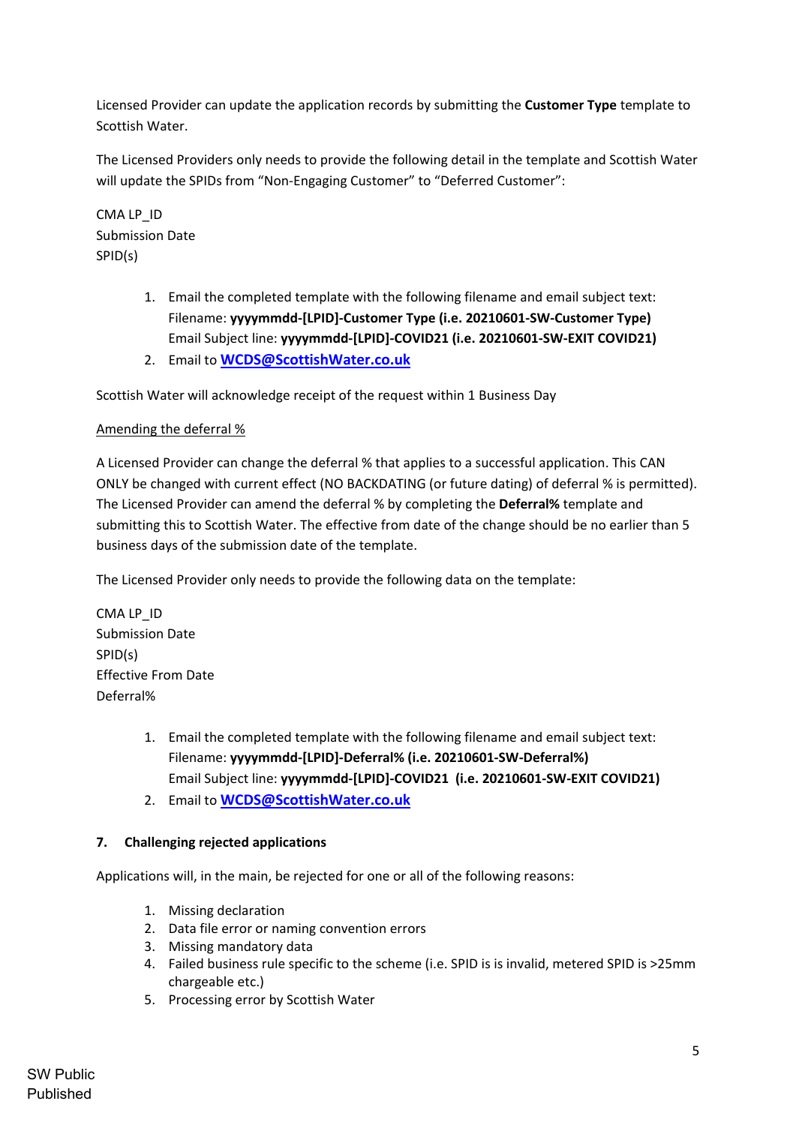Licensed Provider can update the application records by submitting the **Customer Type** template to Scottish Water.

The Licensed Providers only needs to provide the following detail in the template and Scottish Water will update the SPIDs from "Non-Engaging Customer" to "Deferred Customer":

CMA LP\_ID Submission Date SPID(s)

- 1. Email the completed template with the following filename and email subject text: Filename: **yyyymmdd-[LPID]-Customer Type (i.e. 20210601-SW-Customer Type)** Email Subject line: **yyyymmdd-[LPID]-COVID21 (i.e. 20210601-SW-EXIT COVID21)**
- 2. Email to **WCDS@ScottishWater.co.uk**

Scottish Water will acknowledge receipt of the request within 1 Business Day

# Amending the deferral %

A Licensed Provider can change the deferral % that applies to a successful application. This CAN ONLY be changed with current effect (NO BACKDATING (or future dating) of deferral % is permitted). The Licensed Provider can amend the deferral % by completing the **Deferral%** template and submitting this to Scottish Water. The effective from date of the change should be no earlier than 5 business days of the submission date of the template.

The Licensed Provider only needs to provide the following data on the template:

CMA LP\_ID Submission Date SPID(s) Effective From Date Deferral%

- 1. Email the completed template with the following filename and email subject text: Filename: **yyyymmdd-[LPID]-Deferral% (i.e. 20210601-SW-Deferral%)** Email Subject line: **yyyymmdd-[LPID]-COVID21 (i.e. 20210601-SW-EXIT COVID21)**
- 2. Email to **WCDS@ScottishWater.co.uk**

# **7. Challenging rejected applications**

Applications will, in the main, be rejected for one or all of the following reasons:

- 1. Missing declaration
- 2. Data file error or naming convention errors
- 3. Missing mandatory data
- 4. Failed business rule specific to the scheme (i.e. SPID is is invalid, metered SPID is >25mm chargeable etc.)
- 5. Processing error by Scottish Water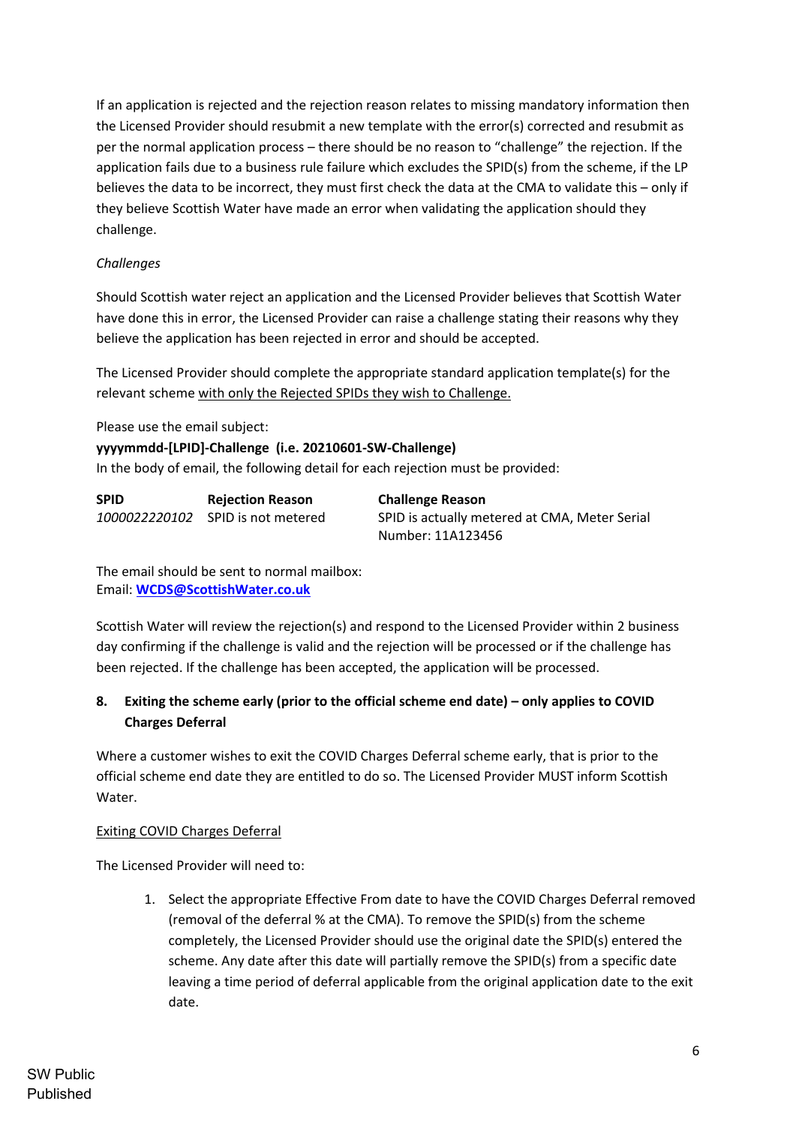If an application is rejected and the rejection reason relates to missing mandatory information then the Licensed Provider should resubmit a new template with the error(s) corrected and resubmit as per the normal application process – there should be no reason to "challenge" the rejection. If the application fails due to a business rule failure which excludes the SPID(s) from the scheme, if the LP believes the data to be incorrect, they must first check the data at the CMA to validate this – only if they believe Scottish Water have made an error when validating the application should they challenge.

### *Challenges*

Should Scottish water reject an application and the Licensed Provider believes that Scottish Water have done this in error, the Licensed Provider can raise a challenge stating their reasons why they believe the application has been rejected in error and should be accepted.

The Licensed Provider should complete the appropriate standard application template(s) for the relevant scheme with only the Rejected SPIDs they wish to Challenge.

Please use the email subject:

#### **yyyymmdd-[LPID]-Challenge (i.e. 20210601-SW-Challenge)**

In the body of email, the following detail for each rejection must be provided:

| SPID | <b>Rejection Reason</b>           | <b>Challenge Reason</b>                       |
|------|-----------------------------------|-----------------------------------------------|
|      | 1000022220102 SPID is not metered | SPID is actually metered at CMA, Meter Serial |
|      |                                   | Number: 11A123456                             |

The email should be sent to normal mailbox: Email: **WCDS@ScottishWater.co.uk**

Scottish Water will review the rejection(s) and respond to the Licensed Provider within 2 business day confirming if the challenge is valid and the rejection will be processed or if the challenge has been rejected. If the challenge has been accepted, the application will be processed.

# **8. Exiting the scheme early (prior to the official scheme end date) – only applies to COVID Charges Deferral**

Where a customer wishes to exit the COVID Charges Deferral scheme early, that is prior to the official scheme end date they are entitled to do so. The Licensed Provider MUST inform Scottish Water.

### Exiting COVID Charges Deferral

The Licensed Provider will need to:

1. Select the appropriate Effective From date to have the COVID Charges Deferral removed (removal of the deferral % at the CMA). To remove the SPID(s) from the scheme completely, the Licensed Provider should use the original date the SPID(s) entered the scheme. Any date after this date will partially remove the SPID(s) from a specific date leaving a time period of deferral applicable from the original application date to the exit date.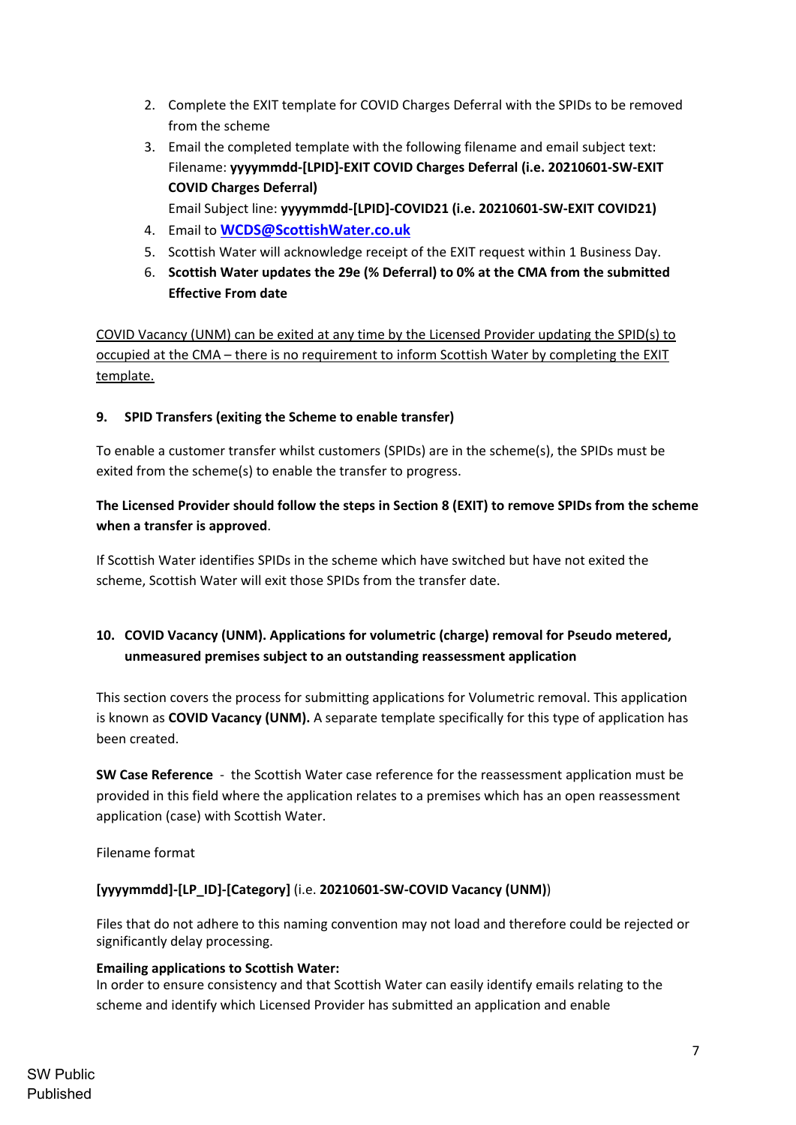- 2. Complete the EXIT template for COVID Charges Deferral with the SPIDs to be removed from the scheme
- 3. Email the completed template with the following filename and email subject text: Filename: **yyyymmdd-[LPID]-EXIT COVID Charges Deferral (i.e. 20210601-SW-EXIT COVID Charges Deferral)**
	- Email Subject line: **yyyymmdd-[LPID]-COVID21 (i.e. 20210601-SW-EXIT COVID21)**
- 4. Email to **WCDS@ScottishWater.co.uk**
- 5. Scottish Water will acknowledge receipt of the EXIT request within 1 Business Day.
- 6. **Scottish Water updates the 29e (% Deferral) to 0% at the CMA from the submitted Effective From date**

COVID Vacancy (UNM) can be exited at any time by the Licensed Provider updating the SPID(s) to occupied at the CMA – there is no requirement to inform Scottish Water by completing the EXIT template.

# **9. SPID Transfers (exiting the Scheme to enable transfer)**

To enable a customer transfer whilst customers (SPIDs) are in the scheme(s), the SPIDs must be exited from the scheme(s) to enable the transfer to progress.

# **The Licensed Provider should follow the steps in Section 8 (EXIT) to remove SPIDs from the scheme when a transfer is approved**.

If Scottish Water identifies SPIDs in the scheme which have switched but have not exited the scheme, Scottish Water will exit those SPIDs from the transfer date.

# **10. COVID Vacancy (UNM). Applications for volumetric (charge) removal for Pseudo metered, unmeasured premises subject to an outstanding reassessment application**

This section covers the process for submitting applications for Volumetric removal. This application is known as **COVID Vacancy (UNM).** A separate template specifically for this type of application has been created.

**SW Case Reference** - the Scottish Water case reference for the reassessment application must be provided in this field where the application relates to a premises which has an open reassessment application (case) with Scottish Water.

Filename format

# **[yyyymmdd]-[LP\_ID]-[Category]** (i.e. **20210601-SW-COVID Vacancy (UNM)**)

Files that do not adhere to this naming convention may not load and therefore could be rejected or significantly delay processing.

# **Emailing applications to Scottish Water:**

In order to ensure consistency and that Scottish Water can easily identify emails relating to the scheme and identify which Licensed Provider has submitted an application and enable